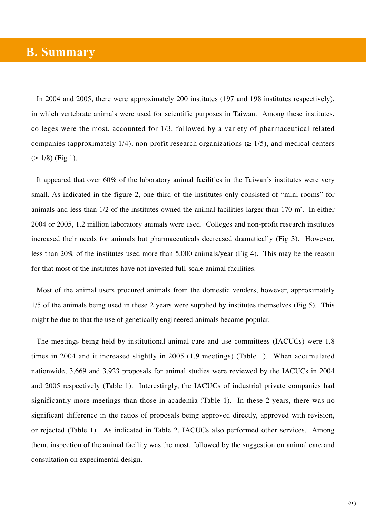## **B. Summary**

In 2004 and 2005, there were approximately 200 institutes (197 and 198 institutes respectively), in which vertebrate animals were used for scientific purposes in Taiwan. Among these institutes, colleges were the most, accounted for 1/3, followed by a variety of pharmaceutical related companies (approximately 1/4), non-profit research organizations ( $\geq$  1/5), and medical centers  $( \geq 1/8)$  (Fig 1).

It appeared that over 60% of the laboratory animal facilities in the Taiwan's institutes were very small. As indicated in the figure 2, one third of the institutes only consisted of "mini rooms" for animals and less than  $1/2$  of the institutes owned the animal facilities larger than  $170 \text{ m}^2$ . In either 2004 or 2005, 1.2 million laboratory animals were used. Colleges and non-profit research institutes increased their needs for animals but pharmaceuticals decreased dramatically (Fig 3). However, less than 20% of the institutes used more than 5,000 animals/year (Fig 4). This may be the reason for that most of the institutes have not invested full-scale animal facilities.

Most of the animal users procured animals from the domestic venders, however, approximately 1/5 of the animals being used in these 2 years were supplied by institutes themselves (Fig 5). This might be due to that the use of genetically engineered animals became popular.

The meetings being held by institutional animal care and use committees (IACUCs) were 1.8 times in 2004 and it increased slightly in 2005 (1.9 meetings) (Table 1). When accumulated nationwide, 3,669 and 3,923 proposals for animal studies were reviewed by the IACUCs in 2004 and 2005 respectively (Table 1). Interestingly, the IACUCs of industrial private companies had significantly more meetings than those in academia (Table 1). In these 2 years, there was no significant difference in the ratios of proposals being approved directly, approved with revision, or rejected (Table 1). As indicated in Table 2, IACUCs also performed other services. Among them, inspection of the animal facility was the most, followed by the suggestion on animal care and consultation on experimental design.